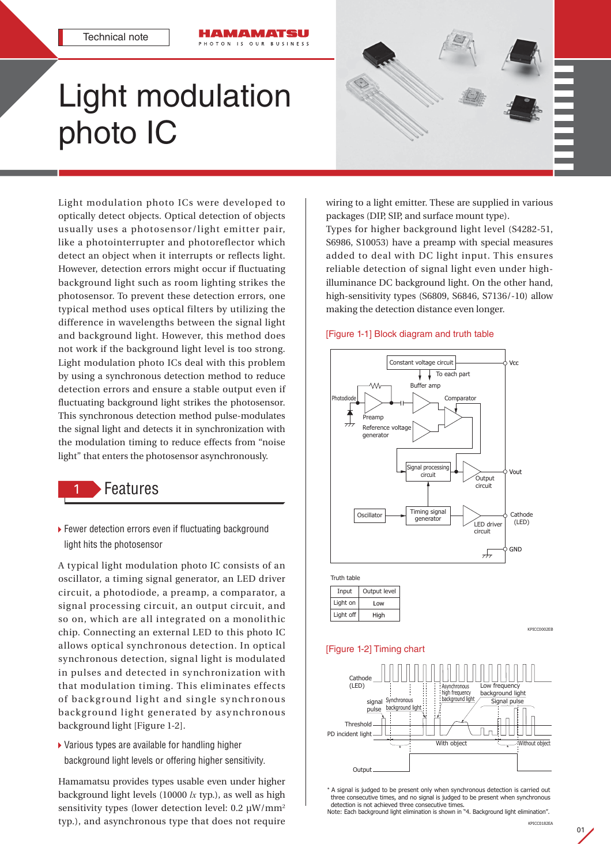

OTON IS OUR BUSINESS



Light modulation photo ICs were developed to optically detect objects. Optical detection of objects usually uses a photosensor/light emitter pair, like a photointerrupter and photoreflector which detect an object when it interrupts or reflects light. However, detection errors might occur if fluctuating background light such as room lighting strikes the photosensor. To prevent these detection errors, one typical method uses optical filters by utilizing the difference in wavelengths between the signal light and background light. However, this method does not work if the background light level is too strong. Light modulation photo ICs deal with this problem by using a synchronous detection method to reduce detection errors and ensure a stable output even if fluctuating background light strikes the photosensor. This synchronous detection method pulse-modulates the signal light and detects it in synchronization with the modulation timing to reduce effects from "noise light" that enters the photosensor asynchronously.

# **Features**

▶ Fewer detection errors even if fluctuating background light hits the photosensor

A typical light modulation photo IC consists of an oscillator, a timing signal generator, an LED driver circuit, a photodiode, a preamp, a comparator, a signal processing circuit, an output circuit, and so on, which are all integrated on a monolithic chip. Connecting an external LED to this photo IC allows optical synchronous detection. In optical synchronous detection, signal light is modulated in pulses and detected in synchronization with that modulation timing. This eliminates effects of background light and single synchronous background light generated by asynchronous background light [Figure 1-2].

 Various types are available for handling higher background light levels or offering higher sensitivity.

Hamamatsu provides types usable even under higher background light levels (10000 *lx* typ.), as well as high sensitivity types (lower detection level: 0.2 µW/mm<sup>2</sup> typ.), and asynchronous type that does not require

wiring to a light emitter. These are supplied in various packages (DIP, SIP, and surface mount type). Types for higher background light level (S4282-51, S6986, S10053) have a preamp with special measures added to deal with DC light input. This ensures reliable detection of signal light even under highilluminance DC background light. On the other hand, high-sensitivity types (S6809, S6846, S7136/-10) allow making the detection distance even longer.

### [Figure 1-1] Block diagram and truth table



Truth table Input | Output level Light on Low Light off High



# [Figure 1-2] Timing chart



\* A signal is judged to be present only when synchronous detection is carried out three consecutive times, and no signal is judged to be present when synchronous detection is not achieved three consecutive times.

Note: Each background light elimination is shown in "4. Background light elimination".

01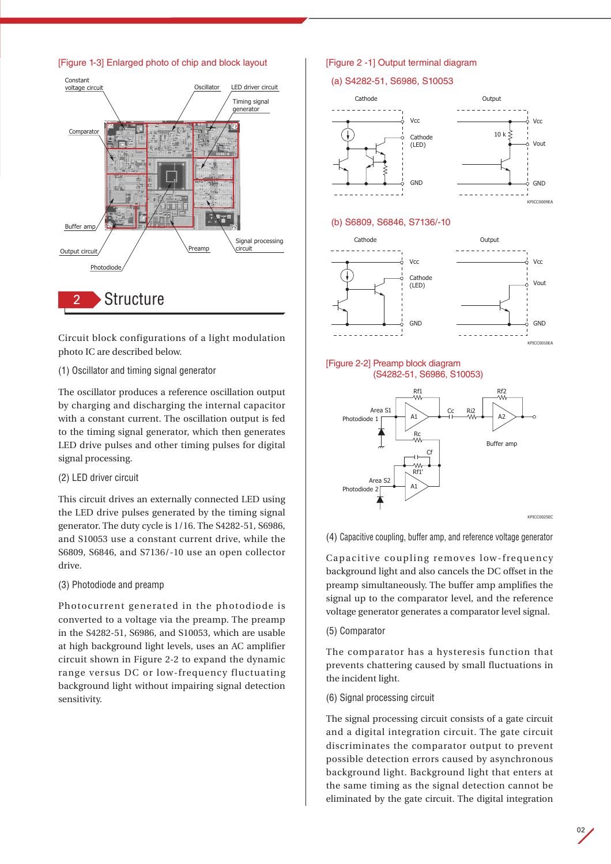

Circuit block configurations of a light modulation photo IC are described below.

(1) Oscillator and timing signal generator

The oscillator produces a reference oscillation output by charging and discharging the internal capacitor with a constant current. The oscillation output is fed to the timing signal generator, which then generates LED drive pulses and other timing pulses for digital signal processing.

# (2) LED driver circuit

This circuit drives an externally connected LED using the LED drive pulses generated by the timing signal generator. The duty cycle is 1/16. The S4282-51, S6986, and S10053 use a constant current drive, while the S6809, S6846, and S7136/-10 use an open collector drive.

(3) Photodiode and preamp

Photocurrent generated in the photodiode is converted to a voltage via the preamp. The preamp in the S4282-51, S6986, and S10053, which are usable at high background light levels, uses an AC amplifier circuit shown in Figure 2-2 to expand the dynamic range versus DC or low-frequency fluctuating background light without impairing signal detection sensitivity.

# [Figure 2 -1] Output terminal diagram

# (a) S4282-51, S6986, S10053



### (b) S6809, S6846, S7136/-10



### [Figure 2-2] Preamp block diagram (S4282-51, S6986, S10053)



(4) Capacitive coupling, buffer amp, and reference voltage generator

Capacitive coupling removes low-frequency background light and also cancels the DC offset in the preamp simultaneously. The buffer amp amplifies the signal up to the comparator level, and the reference voltage generator generates a comparator level signal.

(5) Comparator

The comparator has a hysteresis function that prevents chattering caused by small fluctuations in the incident light.

(6) Signal processing circuit

The signal processing circuit consists of a gate circuit and a digital integration circuit. The gate circuit discriminates the comparator output to prevent possible detection errors caused by asynchronous background light. Background light that enters at the same timing as the signal detection cannot be eliminated by the gate circuit. The digital integration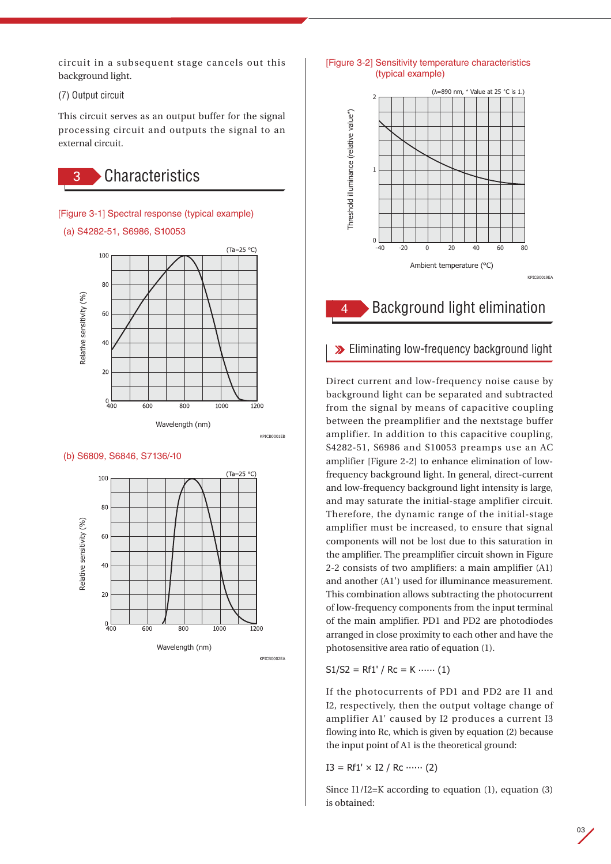circuit in a subsequent stage cancels out this background light.

(7) Output circuit

This circuit serves as an output buffer for the signal processing circuit and outputs the signal to an external circuit.



[Figure 3-1] Spectral response (typical example) (a) S4282-51, S6986, S10053





KPICB0001EB

### (b) S6809, S6846, S7136/-10



### [Figure 3-2] Sensitivity temperature characteristics (typical example)



# 4 Background light elimination

# **Eliminating low-frequency background light**

Direct current and low-frequency noise cause by background light can be separated and subtracted from the signal by means of capacitive coupling between the preamplifier and the nextstage buffer amplifier. In addition to this capacitive coupling, S4282-51, S6986 and S10053 preamps use an AC amplifier [Figure 2-2] to enhance elimination of lowfrequency background light. In general, direct-current and low-frequency background light intensity is large, and may saturate the initial-stage amplifier circuit. Therefore, the dynamic range of the initial-stage amplifier must be increased, to ensure that signal components will not be lost due to this saturation in the amplifier. The preamplifier circuit shown in Figure 2-2 consists of two amplifiers: a main amplifier (A1) and another (A1') used for illuminance measurement. This combination allows subtracting the photocurrent of low-frequency components from the input terminal of the main amplifier. PD1 and PD2 are photodiodes arranged in close proximity to each other and have the photosensitive area ratio of equation (1).

 $S1/S2 = Rf1' / Rc = K$  ...... (1)

If the photocurrents of PD1 and PD2 are I1 and I2, respectively, then the output voltage change of amplifier A1' caused by I2 produces a current I3 flowing into Rc, which is given by equation (2) because the input point of A1 is the theoretical ground:

 $I3 = Rf1' \times I2 / Rc \cdots (2)$ 

Since I1/I2=K according to equation  $(1)$ , equation  $(3)$ is obtained: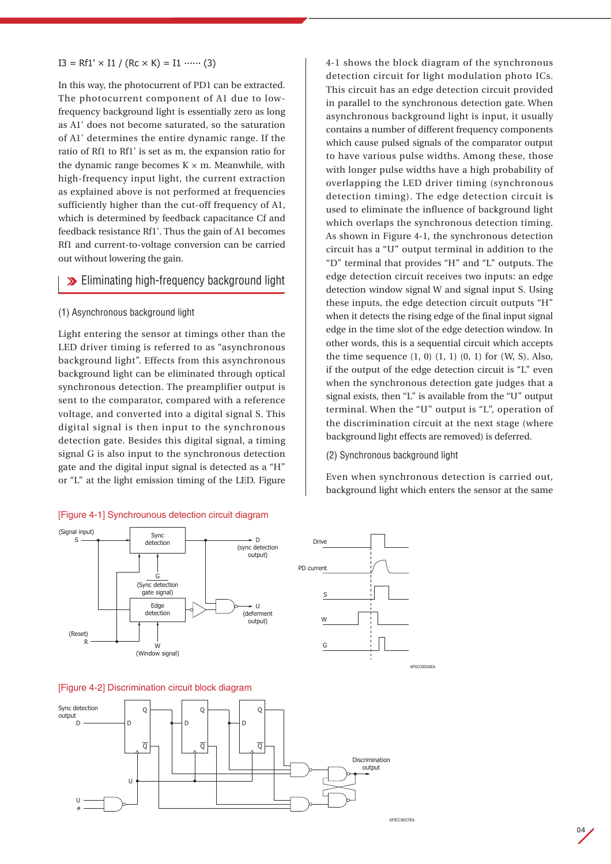## $I3 = Rf1' \times I1 / (Rc \times K) = I1$  ...... (3)

In this way, the photocurrent of PD1 can be extracted. The photocurrent component of A1 due to lowfrequency background light is essentially zero as long as A1' does not become saturated, so the saturation of A1' determines the entire dynamic range. If the ratio of Rf1 to Rf1' is set as m, the expansion ratio for the dynamic range becomes  $K \times m$ . Meanwhile, with high-frequency input light, the current extraction as explained above is not performed at frequencies sufficiently higher than the cut-off frequency of A1, which is determined by feedback capacitance Cf and feedback resistance Rf1'. Thus the gain of A1 becomes Rf1 and current-to-voltage conversion can be carried out without lowering the gain.

# **Eliminating high-frequency background light**

### (1) Asynchronous background light

Light entering the sensor at timings other than the LED driver timing is referred to as "asynchronous background light". Effects from this asynchronous background light can be eliminated through optical synchronous detection. The preamplifier output is sent to the comparator, compared with a reference voltage, and converted into a digital signal S. This digital signal is then input to the synchronous detection gate. Besides this digital signal, a timing signal G is also input to the synchronous detection gate and the digital input signal is detected as a "H" or "L" at the light emission timing of the LED. Figure

### [Figure 4-1] Synchrounous detection circuit diagram

detection circuit for light modulation photo ICs. This circuit has an edge detection circuit provided in parallel to the synchronous detection gate. When asynchronous background light is input, it usually contains a number of different frequency components which cause pulsed signals of the comparator output to have various pulse widths. Among these, those with longer pulse widths have a high probability of overlapping the LED driver timing (synchronous detection timing). The edge detection circuit is used to eliminate the influence of background light which overlaps the synchronous detection timing. As shown in Figure 4-1, the synchronous detection circuit has a "U" output terminal in addition to the "D" terminal that provides "H" and "L" outputs. The edge detection circuit receives two inputs: an edge detection window signal W and signal input S. Using these inputs, the edge detection circuit outputs "H" when it detects the rising edge of the final input signal edge in the time slot of the edge detection window. In other words, this is a sequential circuit which accepts the time sequence  $(1, 0)$   $(1, 1)$   $(0, 1)$  for  $(W, S)$ . Also, if the output of the edge detection circuit is "L" even when the synchronous detection gate judges that a signal exists, then "L" is available from the "U" output terminal. When the "U" output is "L", operation of the discrimination circuit at the next stage (where background light effects are removed) is deferred.

4-1 shows the block diagram of the synchronous

### (2) Synchronous background light

PD current

Drive

S

W

G

Even when synchronous detection is carried out, background light which enters the sensor at the same







KPICC0026EA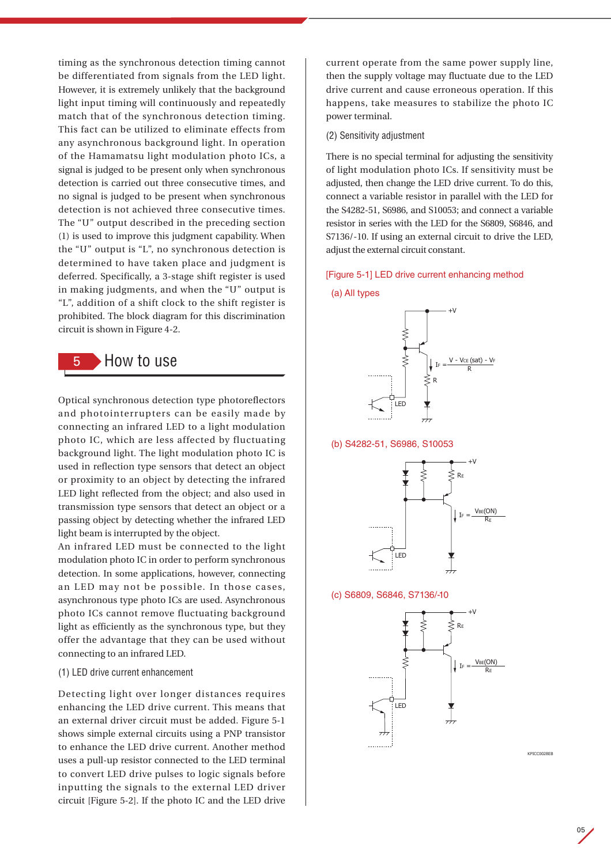timing as the synchronous detection timing cannot be differentiated from signals from the LED light. However, it is extremely unlikely that the background light input timing will continuously and repeatedly match that of the synchronous detection timing. This fact can be utilized to eliminate effects from any asynchronous background light. In operation of the Hamamatsu light modulation photo ICs, a signal is judged to be present only when synchronous detection is carried out three consecutive times, and no signal is judged to be present when synchronous detection is not achieved three consecutive times. The "U" output described in the preceding section (1) is used to improve this judgment capability. When the "U" output is "L", no synchronous detection is determined to have taken place and judgment is deferred. Specifically, a 3-stage shift register is used in making judgments, and when the "U" output is "L", addition of a shift clock to the shift register is prohibited. The block diagram for this discrimination circuit is shown in Figure 4-2.



Optical synchronous detection type photoreflectors and photointerrupters can be easily made by connecting an infrared LED to a light modulation photo IC, which are less affected by fluctuating background light. The light modulation photo IC is used in reflection type sensors that detect an object or proximity to an object by detecting the infrared LED light reflected from the object; and also used in transmission type sensors that detect an object or a passing object by detecting whether the infrared LED light beam is interrupted by the object.

An infrared LED must be connected to the light modulation photo IC in order to perform synchronous detection. In some applications, however, connecting an LED may not be possible. In those cases, asynchronous type photo ICs are used. Asynchronous photo ICs cannot remove fluctuating background light as efficiently as the synchronous type, but they offer the advantage that they can be used without connecting to an infrared LED.

### (1) LED drive current enhancement

Detecting light over longer distances requires enhancing the LED drive current. This means that an external driver circuit must be added. Figure 5-1 shows simple external circuits using a PNP transistor to enhance the LED drive current. Another method uses a pull-up resistor connected to the LED terminal to convert LED drive pulses to logic signals before inputting the signals to the external LED driver circuit [Figure 5-2]. If the photo IC and the LED drive

current operate from the same power supply line, then the supply voltage may fluctuate due to the LED drive current and cause erroneous operation. If this happens, take measures to stabilize the photo IC power terminal.

### (2) Sensitivity adjustment

There is no special terminal for adjusting the sensitivity of light modulation photo ICs. If sensitivity must be adjusted, then change the LED drive current. To do this, connect a variable resistor in parallel with the LED for the S4282-51, S6986, and S10053; and connect a variable resistor in series with the LED for the S6809, S6846, and S7136/-10. If using an external circuit to drive the LED, adjust the external circuit constant.

### [Figure 5-1] LED drive current enhancing method

#### (a) All types



(b) S4282-51, S6986, S10053



### (c) S6809, S6846, S7136/-10



**KPICC0028EB**